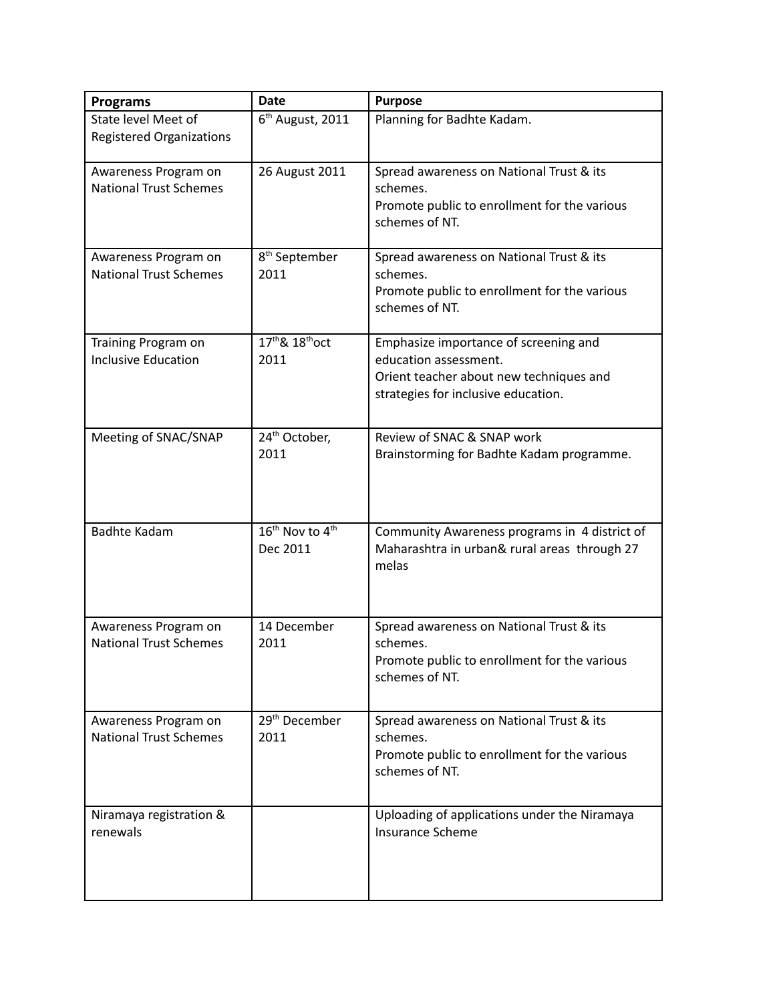| <b>Programs</b>                                        | <b>Date</b>                                         | <b>Purpose</b>                                                                                                                                   |
|--------------------------------------------------------|-----------------------------------------------------|--------------------------------------------------------------------------------------------------------------------------------------------------|
| State level Meet of<br><b>Registered Organizations</b> | 6 <sup>th</sup> August, 2011                        | Planning for Badhte Kadam.                                                                                                                       |
| Awareness Program on<br><b>National Trust Schemes</b>  | 26 August 2011                                      | Spread awareness on National Trust & its<br>schemes.<br>Promote public to enrollment for the various<br>schemes of NT.                           |
| Awareness Program on<br><b>National Trust Schemes</b>  | 8 <sup>th</sup> September<br>2011                   | Spread awareness on National Trust & its<br>schemes.<br>Promote public to enrollment for the various<br>schemes of NT.                           |
| Training Program on<br><b>Inclusive Education</b>      | 17 <sup>th</sup> & 18 <sup>th</sup> oct<br>2011     | Emphasize importance of screening and<br>education assessment.<br>Orient teacher about new techniques and<br>strategies for inclusive education. |
| Meeting of SNAC/SNAP                                   | 24 <sup>th</sup> October,<br>2011                   | Review of SNAC & SNAP work<br>Brainstorming for Badhte Kadam programme.                                                                          |
| <b>Badhte Kadam</b>                                    | 16 <sup>th</sup> Nov to 4 <sup>th</sup><br>Dec 2011 | Community Awareness programs in 4 district of<br>Maharashtra in urban& rural areas through 27<br>melas                                           |
| Awareness Program on<br><b>National Trust Schemes</b>  | 14 December<br>2011                                 | Spread awareness on National Trust & its<br>schemes.<br>Promote public to enrollment for the various<br>schemes of NT.                           |
| Awareness Program on<br><b>National Trust Schemes</b>  | 29 <sup>th</sup> December<br>2011                   | Spread awareness on National Trust & its<br>schemes.<br>Promote public to enrollment for the various<br>schemes of NT.                           |
| Niramaya registration &<br>renewals                    |                                                     | Uploading of applications under the Niramaya<br>Insurance Scheme                                                                                 |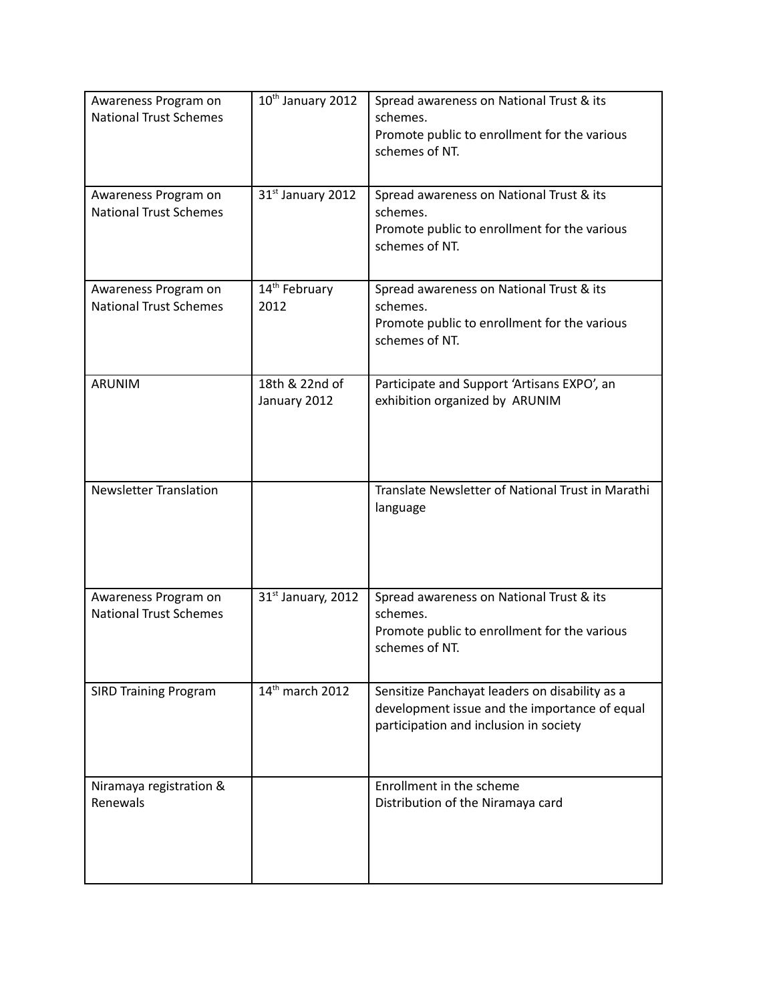| Awareness Program on<br><b>National Trust Schemes</b> | 10 <sup>th</sup> January 2012     | Spread awareness on National Trust & its<br>schemes.<br>Promote public to enrollment for the various<br>schemes of NT.                    |
|-------------------------------------------------------|-----------------------------------|-------------------------------------------------------------------------------------------------------------------------------------------|
| Awareness Program on<br><b>National Trust Schemes</b> | 31st January 2012                 | Spread awareness on National Trust & its<br>schemes.<br>Promote public to enrollment for the various<br>schemes of NT.                    |
| Awareness Program on<br><b>National Trust Schemes</b> | 14 <sup>th</sup> February<br>2012 | Spread awareness on National Trust & its<br>schemes.<br>Promote public to enrollment for the various<br>schemes of NT.                    |
| <b>ARUNIM</b>                                         | 18th & 22nd of<br>January 2012    | Participate and Support 'Artisans EXPO', an<br>exhibition organized by ARUNIM                                                             |
| <b>Newsletter Translation</b>                         |                                   | Translate Newsletter of National Trust in Marathi<br>language                                                                             |
| Awareness Program on<br><b>National Trust Schemes</b> | 31st January, 2012                | Spread awareness on National Trust & its<br>schemes.<br>Promote public to enrollment for the various<br>schemes of NT.                    |
| <b>SIRD Training Program</b>                          | 14 <sup>th</sup> march 2012       | Sensitize Panchayat leaders on disability as a<br>development issue and the importance of equal<br>participation and inclusion in society |
| Niramaya registration &<br>Renewals                   |                                   | Enrollment in the scheme<br>Distribution of the Niramaya card                                                                             |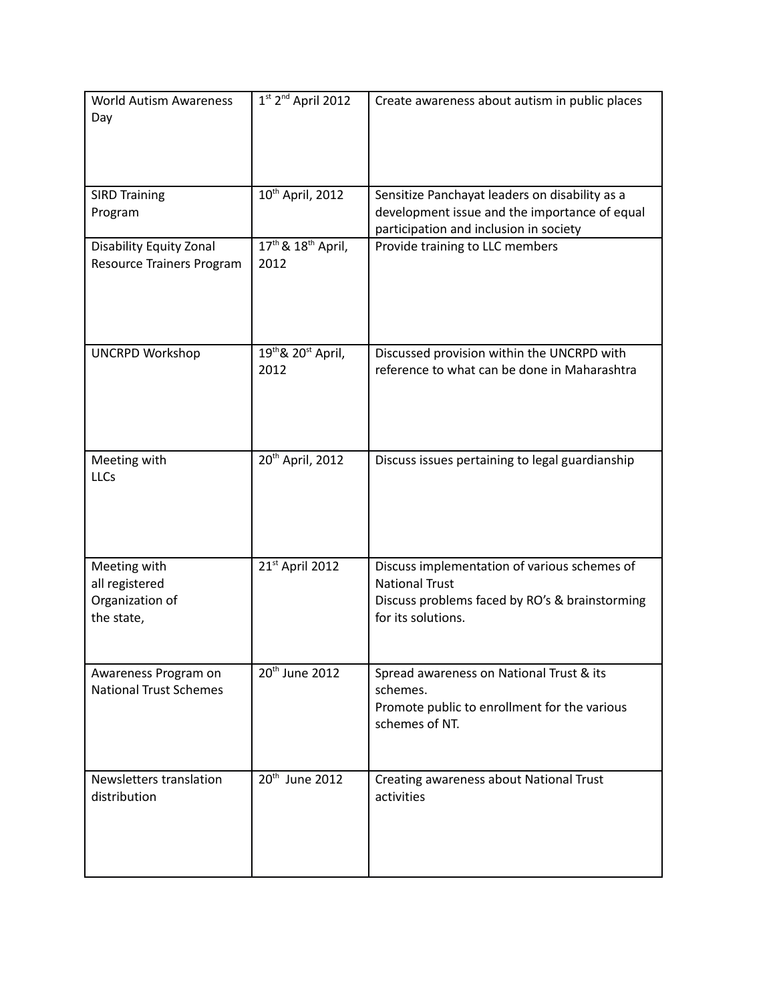| <b>World Autism Awareness</b><br>Day                            | $1st$ 2 <sup>nd</sup> April 2012                   | Create awareness about autism in public places                                                                                                |
|-----------------------------------------------------------------|----------------------------------------------------|-----------------------------------------------------------------------------------------------------------------------------------------------|
| <b>SIRD Training</b><br>Program                                 | 10 <sup>th</sup> April, 2012                       | Sensitize Panchayat leaders on disability as a<br>development issue and the importance of equal<br>participation and inclusion in society     |
| Disability Equity Zonal<br>Resource Trainers Program            | 17 <sup>th</sup> & 18 <sup>th</sup> April,<br>2012 | Provide training to LLC members                                                                                                               |
| <b>UNCRPD Workshop</b>                                          | 19th & 20st April,<br>2012                         | Discussed provision within the UNCRPD with<br>reference to what can be done in Maharashtra                                                    |
| Meeting with<br><b>LLCs</b>                                     | 20 <sup>th</sup> April, 2012                       | Discuss issues pertaining to legal guardianship                                                                                               |
| Meeting with<br>all registered<br>Organization of<br>the state, | 21st April 2012                                    | Discuss implementation of various schemes of<br><b>National Trust</b><br>Discuss problems faced by RO's & brainstorming<br>for its solutions. |
| Awareness Program on<br><b>National Trust Schemes</b>           | 20 <sup>th</sup> June 2012                         | Spread awareness on National Trust & its<br>schemes.<br>Promote public to enrollment for the various<br>schemes of NT.                        |
| Newsletters translation<br>distribution                         | 20 <sup>th</sup> June 2012                         | Creating awareness about National Trust<br>activities                                                                                         |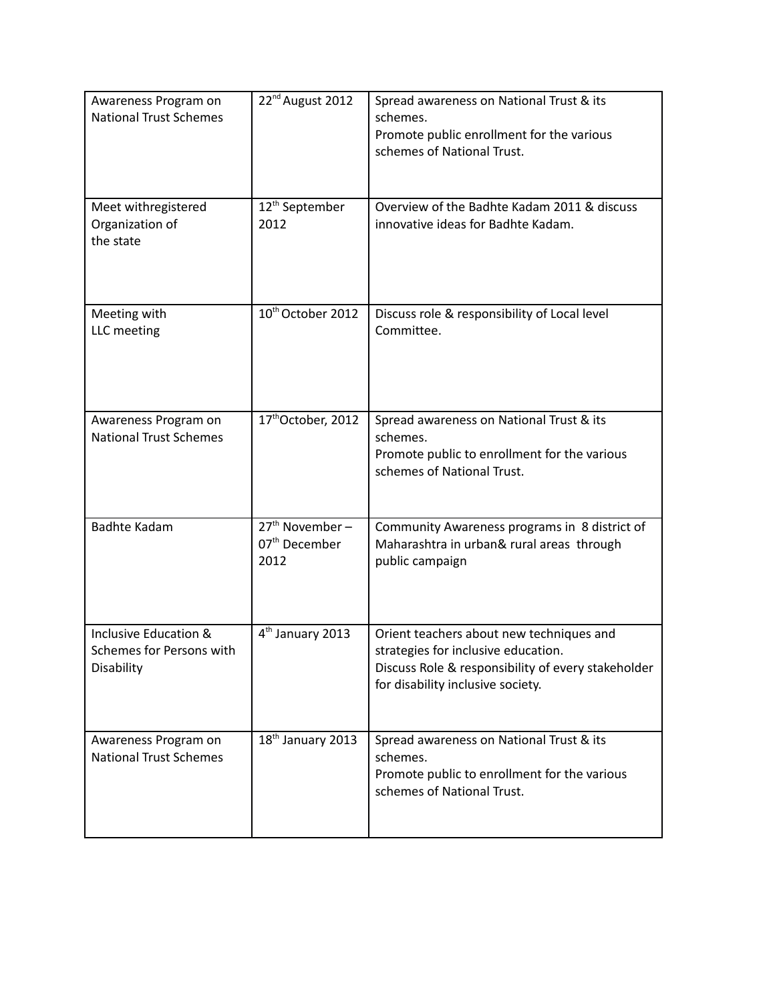| Awareness Program on<br><b>National Trust Schemes</b>           | 22 <sup>nd</sup> August 2012                           | Spread awareness on National Trust & its<br>schemes.<br>Promote public enrollment for the various<br>schemes of National Trust.                                            |
|-----------------------------------------------------------------|--------------------------------------------------------|----------------------------------------------------------------------------------------------------------------------------------------------------------------------------|
| Meet withregistered<br>Organization of<br>the state             | 12 <sup>th</sup> September<br>2012                     | Overview of the Badhte Kadam 2011 & discuss<br>innovative ideas for Badhte Kadam.                                                                                          |
| Meeting with<br>LLC meeting                                     | 10 <sup>th</sup> October 2012                          | Discuss role & responsibility of Local level<br>Committee.                                                                                                                 |
| Awareness Program on<br><b>National Trust Schemes</b>           | 17th October, 2012                                     | Spread awareness on National Trust & its<br>schemes.<br>Promote public to enrollment for the various<br>schemes of National Trust.                                         |
| <b>Badhte Kadam</b>                                             | $27th$ November –<br>07 <sup>th</sup> December<br>2012 | Community Awareness programs in 8 district of<br>Maharashtra in urban& rural areas through<br>public campaign                                                              |
| Inclusive Education &<br>Schemes for Persons with<br>Disability | 4 <sup>th</sup> January 2013                           | Orient teachers about new techniques and<br>strategies for inclusive education.<br>Discuss Role & responsibility of every stakeholder<br>for disability inclusive society. |
| Awareness Program on<br><b>National Trust Schemes</b>           | 18th January 2013                                      | Spread awareness on National Trust & its<br>schemes.<br>Promote public to enrollment for the various<br>schemes of National Trust.                                         |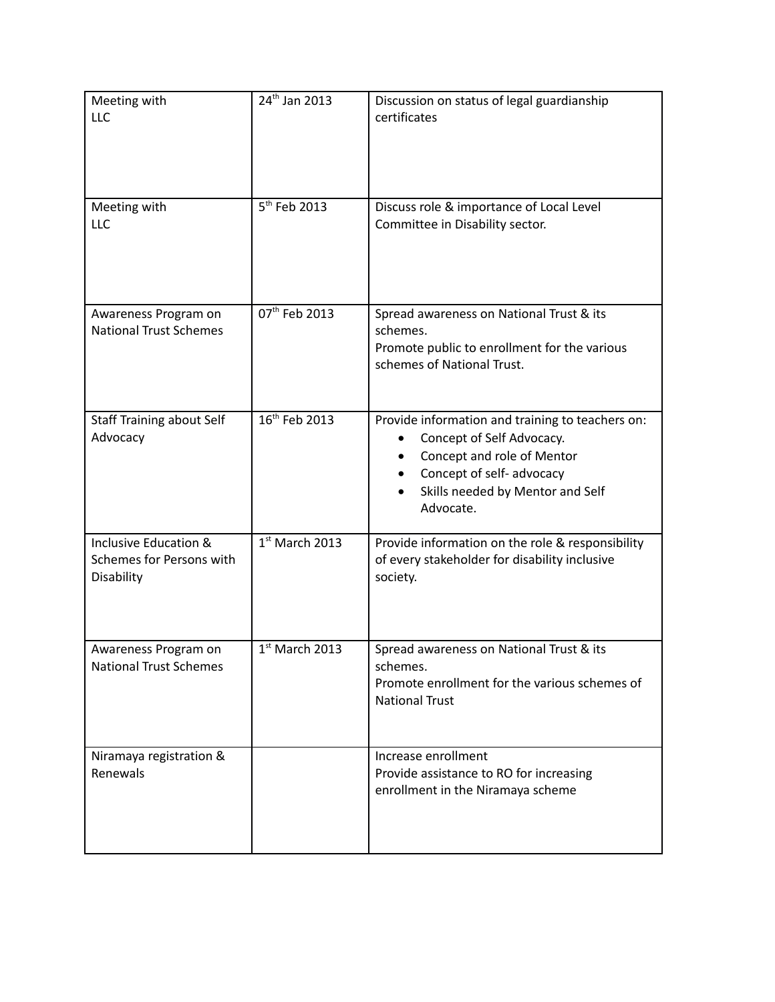| Meeting with<br><b>LLC</b>                                      | 24 <sup>th</sup> Jan 2013 | Discussion on status of legal guardianship<br>certificates                                                                                                                                     |
|-----------------------------------------------------------------|---------------------------|------------------------------------------------------------------------------------------------------------------------------------------------------------------------------------------------|
| Meeting with<br><b>LLC</b>                                      | 5 <sup>th</sup> Feb 2013  | Discuss role & importance of Local Level<br>Committee in Disability sector.                                                                                                                    |
| Awareness Program on<br><b>National Trust Schemes</b>           | 07th Feb 2013             | Spread awareness on National Trust & its<br>schemes.<br>Promote public to enrollment for the various<br>schemes of National Trust.                                                             |
| <b>Staff Training about Self</b><br>Advocacy                    | 16 <sup>th</sup> Feb 2013 | Provide information and training to teachers on:<br>Concept of Self Advocacy.<br>Concept and role of Mentor<br>Concept of self- advocacy<br>٠<br>Skills needed by Mentor and Self<br>Advocate. |
| Inclusive Education &<br>Schemes for Persons with<br>Disability | $1st$ March 2013          | Provide information on the role & responsibility<br>of every stakeholder for disability inclusive<br>society.                                                                                  |
| Awareness Program on<br><b>National Trust Schemes</b>           | $1st$ March 2013          | Spread awareness on National Trust & its<br>schemes.<br>Promote enrollment for the various schemes of<br><b>National Trust</b>                                                                 |
| Niramaya registration &<br>Renewals                             |                           | Increase enrollment<br>Provide assistance to RO for increasing<br>enrollment in the Niramaya scheme                                                                                            |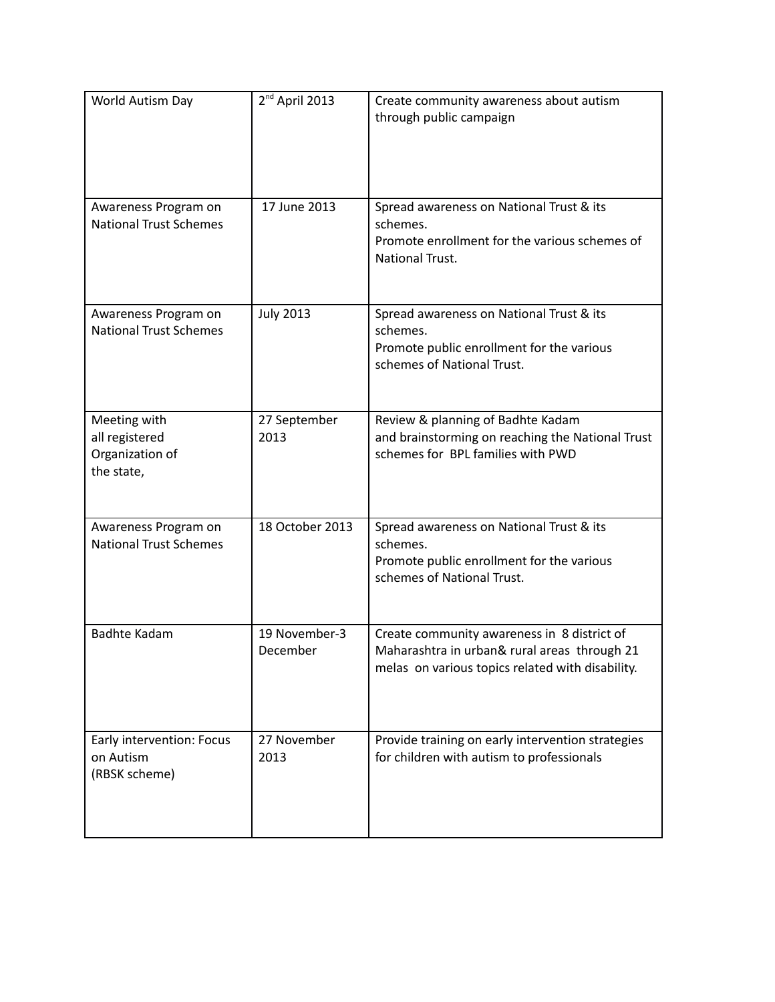| World Autism Day                                                | 2 <sup>nd</sup> April 2013 | Create community awareness about autism<br>through public campaign                                                                              |
|-----------------------------------------------------------------|----------------------------|-------------------------------------------------------------------------------------------------------------------------------------------------|
| Awareness Program on<br><b>National Trust Schemes</b>           | 17 June 2013               | Spread awareness on National Trust & its<br>schemes.<br>Promote enrollment for the various schemes of<br><b>National Trust.</b>                 |
| Awareness Program on<br><b>National Trust Schemes</b>           | <b>July 2013</b>           | Spread awareness on National Trust & its<br>schemes.<br>Promote public enrollment for the various<br>schemes of National Trust.                 |
| Meeting with<br>all registered<br>Organization of<br>the state, | 27 September<br>2013       | Review & planning of Badhte Kadam<br>and brainstorming on reaching the National Trust<br>schemes for BPL families with PWD                      |
| Awareness Program on<br><b>National Trust Schemes</b>           | 18 October 2013            | Spread awareness on National Trust & its<br>schemes.<br>Promote public enrollment for the various<br>schemes of National Trust.                 |
| <b>Badhte Kadam</b>                                             | 19 November-3<br>December  | Create community awareness in 8 district of<br>Maharashtra in urban& rural areas through 21<br>melas on various topics related with disability. |
| Early intervention: Focus<br>on Autism<br>(RBSK scheme)         | 27 November<br>2013        | Provide training on early intervention strategies<br>for children with autism to professionals                                                  |